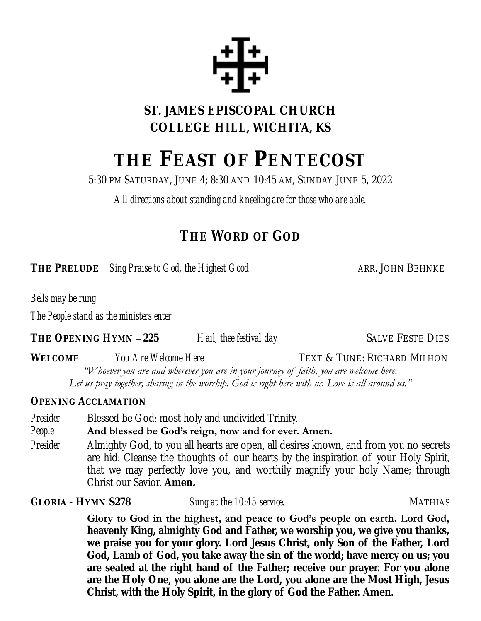

**ST. JAMES EPISCOPAL CHURCH COLLEGE HILL, WICHITA, KS**

# **THE FEAST OF PENTECOST**

5:30 PM SATURDAY, JUNE 4; 8:30 AND 10:45 AM, SUNDAY JUNE 5, 2022

*All directions about standing and kneeling are for those who are able.*

## **THE WORD OF GOD**

**THE PRELUDE** – *Sing Praise to God, the Highest Good* ARR. JOHN BEHNKE

*Bells may be rung*

*The People stand as the ministers enter.*

**THE OPENING HYMN** – **225** *Hail, thee festival day* SALVE FESTE DIES

WELCOME *You Are Welcome Here* TEXT & TUNE: RICHARD MILHON *"Whoever you are and wherever you are in your journey of faith, you are welcome here. Let us pray together, sharing in the worship. God is right here with us. Love is all around us."*

**OPENING ACCLAMATION**

*Presider* Blessed be God: most holy and undivided Trinity.

*People* **And blessed be God's reign, now and for ever. Amen.**

*Presider* Almighty God, to you all hearts are open, all desires known, and from you no secrets are hid: Cleanse the thoughts of our hearts by the inspiration of your Holy Spirit, that we may perfectly love you, and worthily magnify your holy Name; through Christ our Savior. **Amen.**

GLORIA - HYMN S278 *Sung at the 10:45 service.* All the service service of the MATHIAS

**Glory to God in the highest, and peace to God's people on earth. Lord God, heavenly King, almighty God and Father, we worship you, we give you thanks, we praise you for your glory. Lord Jesus Christ, only Son of the Father, Lord God, Lamb of God, you take away the sin of the world; have mercy on us; you are seated at the right hand of the Father; receive our prayer. For you alone are the Holy One, you alone are the Lord, you alone are the Most High, Jesus Christ, with the Holy Spirit, in the glory of God the Father. Amen.**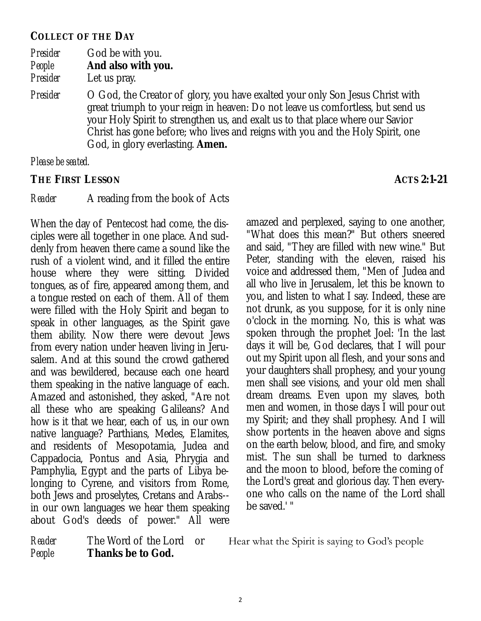**COLLECT OF THE DAY**

*Presider* God be with you. *People* **And also with you.**

*Presider* Let us pray.

*Presider* O God, the Creator of glory, you have exalted your only Son Jesus Christ with great triumph to your reign in heaven: Do not leave us comfortless, but send us your Holy Spirit to strengthen us, and exalt us to that place where our Savior Christ has gone before; who lives and reigns with you and the Holy Spirit, one God, in glory everlasting. **Amen.**

*Please be seated.*

**THE FIRST LESSON ACTS 2:1-21**

#### *Reader* A reading from the book of Acts

When the day of Pentecost had come, the disciples were all together in one place. And suddenly from heaven there came a sound like the rush of a violent wind, and it filled the entire house where they were sitting. Divided tongues, as of fire, appeared among them, and a tongue rested on each of them. All of them were filled with the Holy Spirit and began to speak in other languages, as the Spirit gave them ability. Now there were devout Jews from every nation under heaven living in Jerusalem. And at this sound the crowd gathered and was bewildered, because each one heard them speaking in the native language of each. Amazed and astonished, they asked, "Are not all these who are speaking Galileans? And how is it that we hear, each of us, in our own native language? Parthians, Medes, Elamites, and residents of Mesopotamia, Judea and Cappadocia, Pontus and Asia, Phrygia and Pamphylia, Egypt and the parts of Libya belonging to Cyrene, and visitors from Rome, both Jews and proselytes, Cretans and Arabs- in our own languages we hear them speaking about God's deeds of power." All were

amazed and perplexed, saying to one another, "What does this mean?" But others sneered and said, "They are filled with new wine." But Peter, standing with the eleven, raised his voice and addressed them, "Men of Judea and all who live in Jerusalem, let this be known to you, and listen to what I say. Indeed, these are not drunk, as you suppose, for it is only nine o'clock in the morning. No, this is what was spoken through the prophet Joel: 'In the last days it will be, God declares, that I will pour out my Spirit upon all flesh, and your sons and your daughters shall prophesy, and your young men shall see visions, and your old men shall dream dreams. Even upon my slaves, both men and women, in those days I will pour out my Spirit; and they shall prophesy. And I will show portents in the heaven above and signs on the earth below, blood, and fire, and smoky mist. The sun shall be turned to darkness and the moon to blood, before the coming of the Lord's great and glorious day. Then everyone who calls on the name of the Lord shall be saved.' "

*People* **Thanks be to God.**

*Reader* The Word of the Lord or Hear what the Spirit is saying to God's people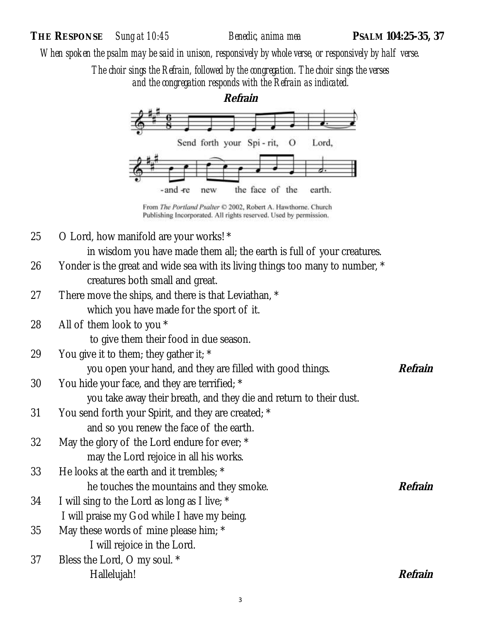*When spoken the psalm may be said in unison, responsively by whole verse, or responsively by half verse.*

*The choir sings the Refrain, followed by the congregation. The choir sings the verses and the congregation responds with the Refrain as indicated.*



From The Portland Psalter C 2002, Robert A. Hawthorne. Church Publishing Incorporated. All rights reserved. Used by permission.

25  $\degree$  O Lord, how manifold are your works!  $*$ 

in wisdom you have made them all; the earth is full of your creatures.

- 26 Yonder is the great and wide sea with its living things too many to number, \* creatures both small and great.
- 27 There move the ships, and there is that Leviathan,  $*$ which you have made for the sport of it.
- 28 All of them look to you \*

to give them their food in due season.

29 You give it to them; they gather it;  $*$ 

you open your hand, and they are filled with good things. Refrain

30 You hide your face, and they are terrified; \*

you take away their breath, and they die and return to their dust.

- 31 You send forth your Spirit, and they are created; \* and so you renew the face of the earth.
- 32 May the glory of the Lord endure for ever; \* may the Lord rejoice in all his works.
- 33 He looks at the earth and it trembles; \* he touches the mountains and they smoke. **Refrain**
- 34 I will sing to the Lord as long as I live; \*
- I will praise my God while I have my being.
- 35 May these words of mine please him; \* I will rejoice in the Lord.
- 37 Bless the Lord, O my soul. \* Hallelujah! **Refrain**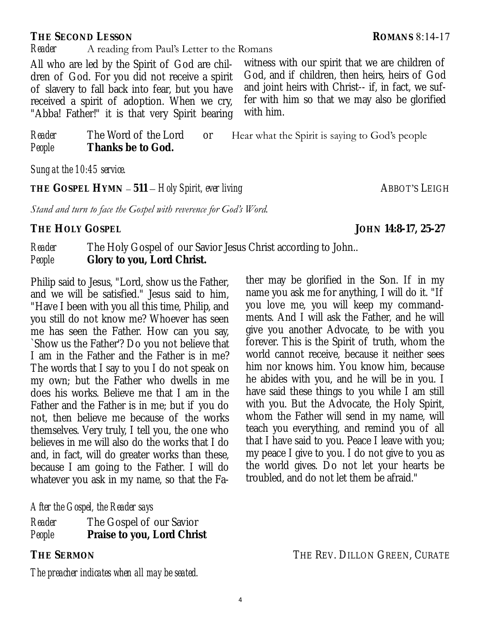#### **THE SECOND LESSON ROMANS** 8:14-17

#### *Reader* A reading from Paul's Letter to the Romans

All who are led by the Spirit of God are children of God. For you did not receive a spirit of slavery to fall back into fear, but you have received a spirit of adoption. When we cry, "Abba! Father!" it is that very Spirit bearing witness with our spirit that we are children of God, and if children, then heirs, heirs of God and joint heirs with Christ-- if, in fact, we suffer with him so that we may also be glorified with him.

*Reader* The Word of the Lord or Hear what the Spirit is saying to God's people *People* **Thanks be to God.**

*Sung at the 10:45 service.* 

**THE GOSPEL HYMN** – **511** – *Holy Spirit, ever living* ABBOT'S LEIGH

*Stand and turn to face the Gospel with reverence for God's Word.*

**THE HOLY GOSPEL JOHN 14:8-17, 25-27**

*Reader* The Holy Gospel of our Savior Jesus Christ according to John.. *People* **Glory to you, Lord Christ.**

Philip said to Jesus, "Lord, show us the Father, and we will be satisfied." Jesus said to him, "Have I been with you all this time, Philip, and you still do not know me? Whoever has seen me has seen the Father. How can you say, `Show us the Father'? Do you not believe that I am in the Father and the Father is in me? The words that I say to you I do not speak on my own; but the Father who dwells in me does his works. Believe me that I am in the Father and the Father is in me; but if you do not, then believe me because of the works themselves. Very truly, I tell you, the one who believes in me will also do the works that I do and, in fact, will do greater works than these, because I am going to the Father. I will do whatever you ask in my name, so that the Fa-

#### *After the Gospel, the Reader says*

| Reader | The Gospel of our Savior   |
|--------|----------------------------|
| People | Praise to you, Lord Christ |

*The preacher indicates when all may be seated.*

ther may be glorified in the Son. If in my name you ask me for anything, I will do it. "If you love me, you will keep my commandments. And I will ask the Father, and he will give you another Advocate, to be with you forever. This is the Spirit of truth, whom the world cannot receive, because it neither sees him nor knows him. You know him, because he abides with you, and he will be in you. I have said these things to you while I am still with you. But the Advocate, the Holy Spirit, whom the Father will send in my name, will teach you everything, and remind you of all that I have said to you. Peace I leave with you; my peace I give to you. I do not give to you as the world gives. Do not let your hearts be troubled, and do not let them be afraid."

**THE SERMON** THE REV. DILLON GREEN, CURATE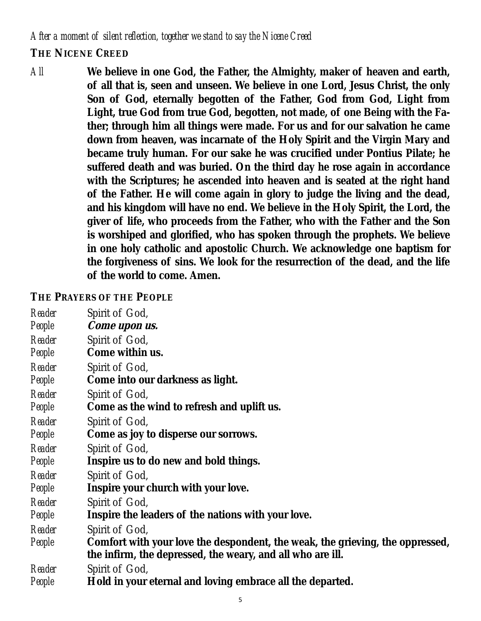*After a moment of silent reflection, together we stand to say the Nicene Creed* **THE NICENE CREED**

*All* **We believe in one God, the Father, the Almighty, maker of heaven and earth, of all that is, seen and unseen. We believe in one Lord, Jesus Christ, the only Son of God, eternally begotten of the Father, God from God, Light from Light, true God from true God, begotten, not made, of one Being with the Father; through him all things were made. For us and for our salvation he came down from heaven, was incarnate of the Holy Spirit and the Virgin Mary and became truly human. For our sake he was crucified under Pontius Pilate; he suffered death and was buried. On the third day he rose again in accordance with the Scriptures; he ascended into heaven and is seated at the right hand of the Father. He will come again in glory to judge the living and the dead, and his kingdom will have no end. We believe in the Holy Spirit, the Lord, the giver of life, who proceeds from the Father, who with the Father and the Son is worshiped and glorified, who has spoken through the prophets. We believe in one holy catholic and apostolic Church. We acknowledge one baptism for the forgiveness of sins. We look for the resurrection of the dead, and the life of the world to come. Amen.**

#### **THE PRAYERS OF THE PEOPLE**

- *Reader* Spirit of God,
- *People* **Come upon us.**
- *Reader* Spirit of God,
- *People* **Come within us.**
- *Reader* Spirit of God,
- *People* **Come into our darkness as light.**
- *Reader* Spirit of God,
- *People* **Come as the wind to refresh and uplift us.**
- *Reader* Spirit of God,
- *People* **Come as joy to disperse our sorrows.**
- *Reader* Spirit of God,
- *People* **Inspire us to do new and bold things.**
- *Reader* Spirit of God,
- *People* **Inspire your church with your love.**
- *Reader* Spirit of God,
- *People* **Inspire the leaders of the nations with your love.**
- *Reader* Spirit of God,
- *People* **Comfort with your love the despondent, the weak, the grieving, the oppressed, the infirm, the depressed, the weary, and all who are ill.**

*Reader* Spirit of God,

*People* **Hold in your eternal and loving embrace all the departed.**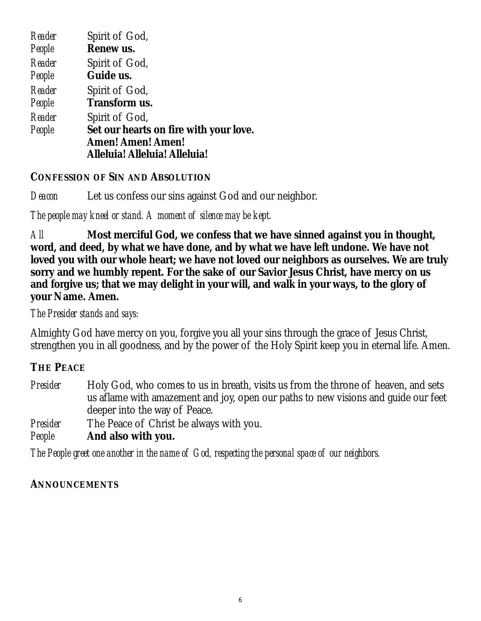| Reader | Spirit of God,                         |
|--------|----------------------------------------|
| People | Renew us.                              |
| Reader | Spirit of God,                         |
| People | Guide us.                              |
| Reader | Spirit of God,                         |
| People | Transform us.                          |
| Reader | Spirit of God,                         |
| People | Set our hearts on fire with your love. |
|        | Amen! Amen! Amen!                      |
|        | Alleluia! Alleluia! Alleluia!          |

#### **CONFESSION OF SIN AND ABSOLUTION**

*Deacon* Let us confess our sins against God and our neighbor.

#### *The people may kneel or stand. A moment of silence may be kept.*

*All* **Most merciful God, we confess that we have sinned against you in thought, word, and deed, by what we have done, and by what we have left undone. We have not loved you with our whole heart; we have not loved our neighbors as ourselves. We are truly sorry and we humbly repent. For the sake of our Savior Jesus Christ, have mercy on us and forgive us; that we may delight in your will, and walk in your ways, to the glory of your Name. Amen.**

#### *The Presider stands and says:*

Almighty God have mercy on you, forgive you all your sins through the grace of Jesus Christ, strengthen you in all goodness, and by the power of the Holy Spirit keep you in eternal life. Amen.

#### **THE PEACE**

*Presider* Holy God, who comes to us in breath, visits us from the throne of heaven, and sets us aflame with amazement and joy, open our paths to new visions and guide our feet deeper into the way of Peace.

*Presider* The Peace of Christ be always with you.

*People* **And also with you.**

*The People greet one another in the name of God, respecting the personal space of our neighbors.*

#### **ANNOUNCEMENTS**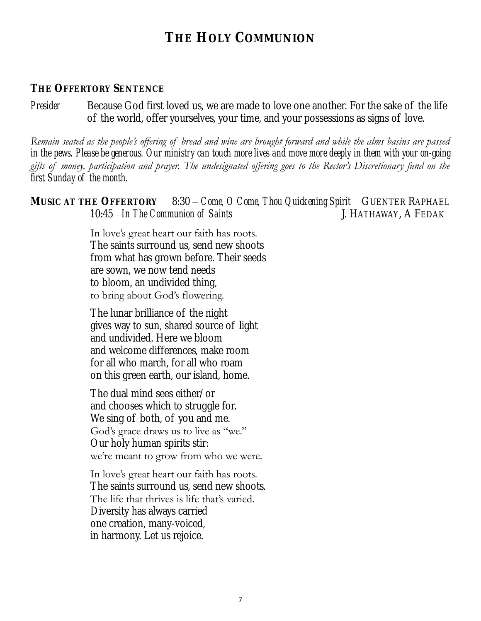## **THE HOLY COMMUNION**

#### **THE OFFERTORY SENTENCE**

*Presider* Because God first loved us, we are made to love one another. For the sake of the life of the world, offer yourselves, your time, and your possessions as signs of love.

*Remain seated as the people's offering of bread and wine are brought forward and while the alms basins are passed in the pews. Please be generous. Our ministry can touch more lives and move more deeply in them with your on-going gifts of money, participation and prayer. The undesignated offering goes to the Rector's Discretionary fund on the first Sunday of the month.*

**MUSIC AT THE OFFERTORY** 8:30 *– Come, O Come, Thou Quickening Spirit* GUENTER RAPHAEL 10:45 – *In The Communion of Saints* J. HATHAWAY, A FEDAK

> In love's great heart our faith has roots. The saints surround us, send new shoots from what has grown before. Their seeds are sown, we now tend needs to bloom, an undivided thing, to bring about God's flowering.

The lunar brilliance of the night gives way to sun, shared source of light and undivided. Here we bloom and welcome differences, make room for all who march, for all who roam on this green earth, our island, home.

The dual mind sees either/or and chooses which to struggle for. We sing of both, of you and me. God's grace draws us to live as "we." Our holy human spirits stir: we're meant to grow from who we were.

In love's great heart our faith has roots. The saints surround us, send new shoots. The life that thrives is life that's varied. Diversity has always carried one creation, many-voiced, in harmony. Let us rejoice.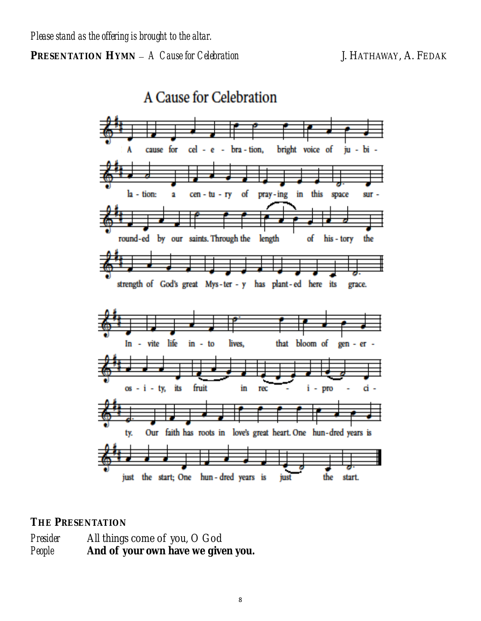A Cause for Celebration



#### **THE PRESENTATION**

*Presider* All things come of you, O God *People* **And of your own have we given you.**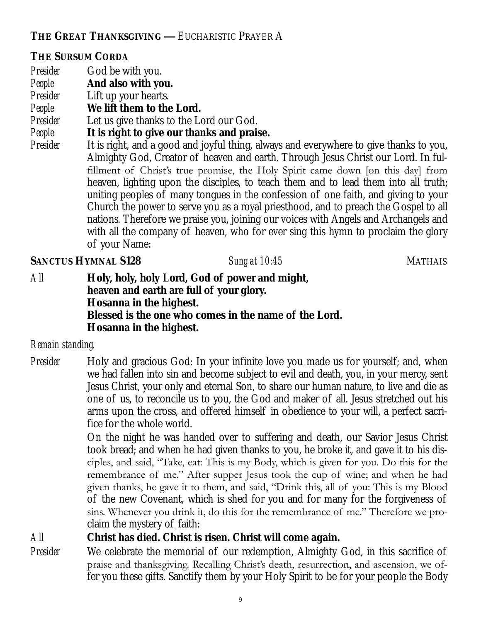**THE GREAT THANKSGIVING —** EUCHARISTIC PRAYER A

#### **THE SURSUM CORDA**

- *Presider* God be with you.
- *People* **And also with you.**
- *Presider* Lift up your hearts.
- *People* **We lift them to the Lord.**
- *Presider* Let us give thanks to the Lord our God.
- *People* **It is right to give our thanks and praise.**
- *Presider* It is right, and a good and joyful thing, always and everywhere to give thanks to you, Almighty God, Creator of heaven and earth. Through Jesus Christ our Lord. In fulfillment of Christ's true promise, the Holy Spirit came down [on this day] from heaven, lighting upon the disciples, to teach them and to lead them into all truth; uniting peoples of many tongues in the confession of one faith, and giving to your Church the power to serve you as a royal priesthood, and to preach the Gospel to all nations. Therefore we praise you, joining our voices with Angels and Archangels and with all the company of heaven, who for ever sing this hymn to proclaim the glory of your Name:

#### **SANCTUS HYMNAL S128** *Sung at 10:45*MATHAIS

*All* **Holy, holy, holy Lord, God of power and might, heaven and earth are full of your glory. Hosanna in the highest. Blessed is the one who comes in the name of the Lord. Hosanna in the highest.**

#### *Remain standing.*

*Presider* Holy and gracious God: In your infinite love you made us for yourself; and, when we had fallen into sin and become subject to evil and death, you, in your mercy, sent Jesus Christ, your only and eternal Son, to share our human nature, to live and die as one of us, to reconcile us to you, the God and maker of all. Jesus stretched out his arms upon the cross, and offered himself in obedience to your will, a perfect sacrifice for the whole world.

> On the night he was handed over to suffering and death, our Savior Jesus Christ took bread; and when he had given thanks to you, he broke it, and gave it to his disciples, and said, "Take, eat: This is my Body, which is given for you. Do this for the remembrance of me." After supper Jesus took the cup of wine; and when he had given thanks, he gave it to them, and said, "Drink this, all of you: This is my Blood of the new Covenant, which is shed for you and for many for the forgiveness of sins. Whenever you drink it, do this for the remembrance of me." Therefore we proclaim the mystery of faith:

*All* **Christ has died. Christ is risen. Christ will come again.**

*Presider* We celebrate the memorial of our redemption, Almighty God, in this sacrifice of praise and thanksgiving. Recalling Christ's death, resurrection, and ascension, we offer you these gifts. Sanctify them by your Holy Spirit to be for your people the Body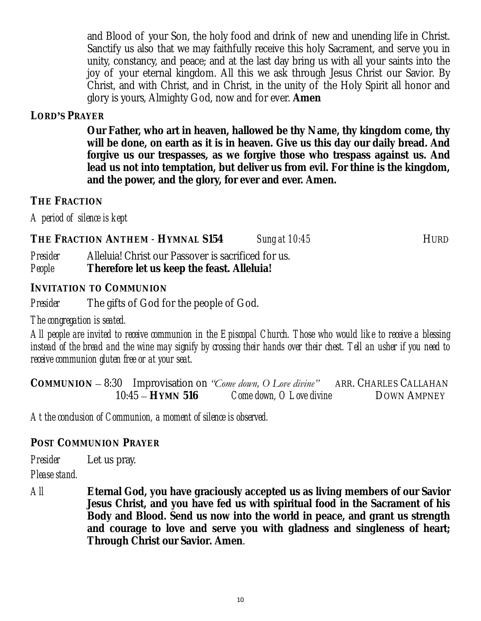and Blood of your Son, the holy food and drink of new and unending life in Christ. Sanctify us also that we may faithfully receive this holy Sacrament, and serve you in unity, constancy, and peace; and at the last day bring us with all your saints into the joy of your eternal kingdom. All this we ask through Jesus Christ our Savior. By Christ, and with Christ, and in Christ, in the unity of the Holy Spirit all honor and glory is yours, Almighty God, now and for ever. **Amen**

#### **LORD'S PRAYER**

**Our Father, who art in heaven, hallowed be thy Name, thy kingdom come, thy will be done, on earth as it is in heaven. Give us this day our daily bread. And forgive us our trespasses, as we forgive those who trespass against us. And lead us not into temptation, but deliver us from evil. For thine is the kingdom, and the power, and the glory, for ever and ever. Amen.** 

#### **THE FRACTION**

*A period of silence is kept*

**THE FRACTION ANTHEM** - **HYMNAL S154** *Sung at 10:45*HURD

*Presider* Alleluia! Christ our Passover is sacrificed for us. *People* **Therefore let us keep the feast. Alleluia!**

**INVITATION TO COMMUNION**

*Presider* The gifts of God for the people of God.

*The congregation is seated.*

*All people are invited to receive communion in the Episcopal Church. Those who would like to receive a blessing instead of the bread and the wine may signify by crossing their hands over their chest. Tell an usher if you need to receive communion gluten free or at your seat.* 

**COMMUNION** – 8:30 Improvisation on *"Come down, O Love divine"* ARR. CHARLES CALLAHAN 10:45 – **HYMN 516** *Come down, O Love divine* DOWN AMPNEY

*At the conclusion of Communion, a moment of silence is observed.*

**POST COMMUNION PRAYER**

*Presider* Let us pray.

*Please stand.*

*All* **Eternal God, you have graciously accepted us as living members of our Savior Jesus Christ, and you have fed us with spiritual food in the Sacrament of his Body and Blood. Send us now into the world in peace, and grant us strength and courage to love and serve you with gladness and singleness of heart; Through Christ our Savior. Amen**.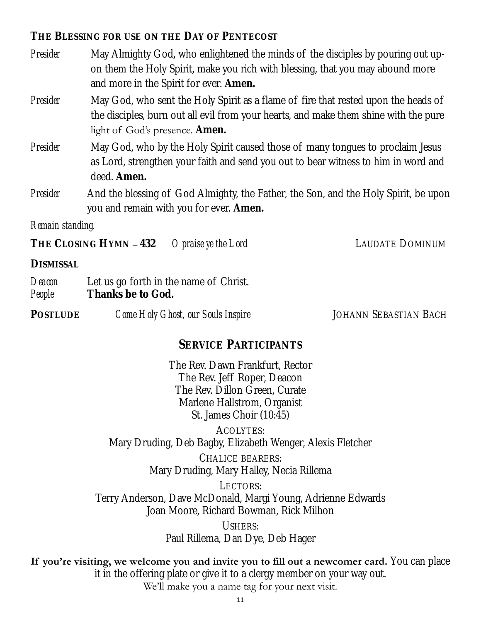**THE BLESSING FOR USE ON THE DAY OF PENTECOST**

- *Presider* May Almighty God, who enlightened the minds of the disciples by pouring out upon them the Holy Spirit, make you rich with blessing, that you may abound more and more in the Spirit for ever. **Amen.**
- *Presider* May God, who sent the Holy Spirit as a flame of fire that rested upon the heads of the disciples, burn out all evil from your hearts, and make them shine with the pure light of God's presence. **Amen.**
- *Presider* May God, who by the Holy Spirit caused those of many tongues to proclaim Jesus as Lord, strengthen your faith and send you out to bear witness to him in word and deed. **Amen.**
- *Presider* And the blessing of God Almighty, the Father, the Son, and the Holy Spirit, be upon you and remain with you for ever. **Amen.**

*Remain standing.* 

**THE CLOSING HYMN** – **432** *O praise ye the Lord* LAUDATE DOMINUM

**DISMISSAL**

- *Deacon* Let us go forth in the name of Christ. *People* **Thanks be to God.**
- POSTLUDE *Come Holy Ghost, our Souls Inspire* JOHANN SEBASTIAN BACH

#### **SERVICE PARTICIPANTS**

The Rev. Dawn Frankfurt, Rector The Rev. Jeff Roper, Deacon The Rev. Dillon Green, Curate Marlene Hallstrom, Organist St. James Choir (10:45)

ACOLYTES: Mary Druding, Deb Bagby, Elizabeth Wenger, Alexis Fletcher

> CHALICE BEARERS: Mary Druding, Mary Halley, Necia Rillema

LECTORS: Terry Anderson, Dave McDonald, Margi Young, Adrienne Edwards Joan Moore, Richard Bowman, Rick Milhon

> USHERS: Paul Rillema, Dan Dye, Deb Hager

If you're visiting, we welcome you and invite you to fill out a newcomer card. You can place it in the offering plate or give it to a clergy member on your way out. We'll make you a name tag for your next visit.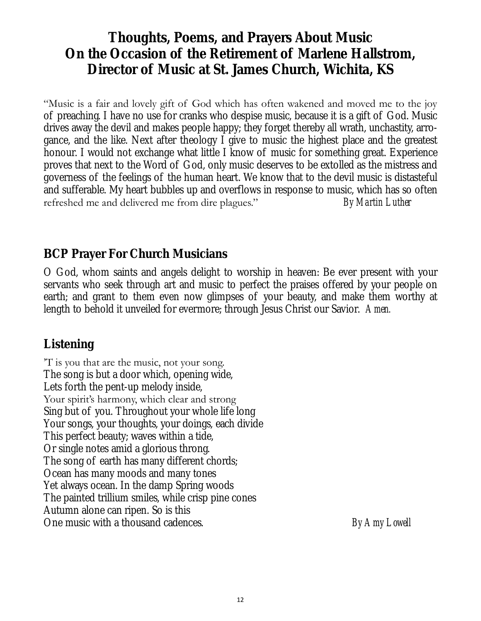## **Thoughts, Poems, and Prayers About Music On the Occasion of the Retirement of Marlene Hallstrom, Director of Music at St. James Church, Wichita, KS**

"Music is a fair and lovely gift of God which has often wakened and moved me to the joy of preaching. I have no use for cranks who despise music, because it is a gift of God. Music drives away the devil and makes people happy; they forget thereby all wrath, unchastity, arrogance, and the like. Next after theology I give to music the highest place and the greatest honour. I would not exchange what little I know of music for something great. Experience proves that next to the Word of God, only music deserves to be extolled as the mistress and governess of the feelings of the human heart. We know that to the devil music is distasteful and sufferable. My heart bubbles up and overflows in response to music, which has so often refreshed me and delivered me from dire plagues." *By Martin Luther*

#### **BCP Prayer For Church Musicians**

O God, whom saints and angels delight to worship in heaven: Be ever present with your servants who seek through art and music to perfect the praises offered by your people on earth; and grant to them even now glimpses of your beauty, and make them worthy at length to behold it unveiled for evermore; through Jesus Christ our Savior. *Amen.*

### **Listening**

'T is you that are the music, not your song. The song is but a door which, opening wide, Lets forth the pent-up melody inside, Your spirit's harmony, which clear and strong Sing but of you. Throughout your whole life long Your songs, your thoughts, your doings, each divide This perfect beauty; waves within a tide, Or single notes amid a glorious throng. The song of earth has many different chords; Ocean has many moods and many tones Yet always ocean. In the damp Spring woods The painted trillium smiles, while crisp pine cones Autumn alone can ripen. So is this One music with a thousand cadences. *By Amy Lowell*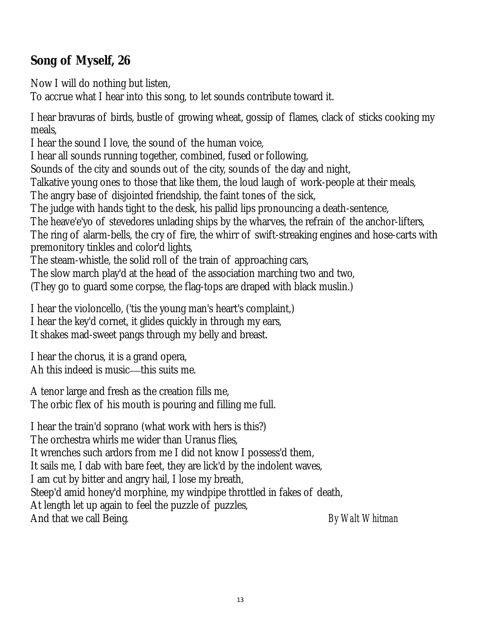**Song of Myself, 26**

Now I will do nothing but listen,

To accrue what I hear into this song, to let sounds contribute toward it.

I hear bravuras of birds, bustle of growing wheat, gossip of flames, clack of sticks cooking my meals,

I hear the sound I love, the sound of the human voice,

I hear all sounds running together, combined, fused or following,

Sounds of the city and sounds out of the city, sounds of the day and night,

Talkative young ones to those that like them, the loud laugh of work-people at their meals,

The angry base of disjointed friendship, the faint tones of the sick,

The judge with hands tight to the desk, his pallid lips pronouncing a death-sentence,

The heave'e'yo of stevedores unlading ships by the wharves, the refrain of the anchor-lifters,

The ring of alarm-bells, the cry of fire, the whirr of swift-streaking engines and hose-carts with premonitory tinkles and color'd lights,

The steam-whistle, the solid roll of the train of approaching cars,

The slow march play'd at the head of the association marching two and two,

(They go to guard some corpse, the flag-tops are draped with black muslin.)

I hear the violoncello, ('tis the young man's heart's complaint,) I hear the key'd cornet, it glides quickly in through my ears, It shakes mad-sweet pangs through my belly and breast.

I hear the chorus, it is a grand opera, Ah this indeed is music—this suits me.

A tenor large and fresh as the creation fills me, The orbic flex of his mouth is pouring and filling me full.

I hear the train'd soprano (what work with hers is this?)

The orchestra whirls me wider than Uranus flies,

It wrenches such ardors from me I did not know I possess'd them,

It sails me, I dab with bare feet, they are lick'd by the indolent waves,

I am cut by bitter and angry hail, I lose my breath,

Steep'd amid honey'd morphine, my windpipe throttled in fakes of death,

At length let up again to feel the puzzle of puzzles,

And that we call Being. *By Walt Whitman*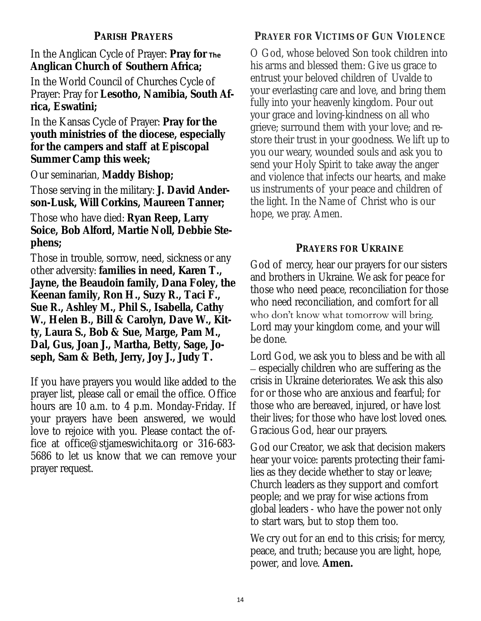#### **PARISH PRAYERS**

In the Anglican Cycle of Prayer: **Pray for The Anglican Church of Southern Africa;**

In the World Council of Churches Cycle of Prayer: Pray for **Lesotho, Namibia, South Africa, Eswatini;**

In the Kansas Cycle of Prayer: **Pray for the youth ministries of the diocese, especially for the campers and staff at Episcopal Summer Camp this week;**

Our seminarian, **Maddy Bishop;**

Those serving in the military: **J. David Anderson-Lusk, Will Corkins, Maureen Tanner;**

Those who have died: **Ryan Reep, Larry Soice, Bob Alford, Martie Noll, Debbie Stephens;**

Those in trouble, sorrow, need, sickness or any other adversity: **families in need, Karen T., Jayne, the Beaudoin family, Dana Foley, the Keenan family, Ron H., Suzy R., Taci F., Sue R., Ashley M., Phil S., Isabella, Cathy W., Helen B., Bill & Carolyn, Dave W., Kitty, Laura S., Bob & Sue, Marge, Pam M., Dal, Gus, Joan J., Martha, Betty, Sage, Joseph, Sam & Beth, Jerry, Joy J., Judy T.**

If you have prayers you would like added to the prayer list, please call or email the office. Office hours are 10 a.m. to 4 p.m. Monday-Friday. If your prayers have been answered, we would love to rejoice with you. Please contact the office at office@stjameswichita.org or 316-683- 5686 to let us know that we can remove your prayer request.

#### **PRAYER FOR VICTIMS OF GUN VIOLENCE**

O God, whose beloved Son took children into his arms and blessed them: Give us grace to entrust your beloved children of Uvalde to your everlasting care and love, and bring them fully into your heavenly kingdom. Pour out your grace and loving-kindness on all who grieve; surround them with your love; and restore their trust in your goodness. We lift up to you our weary, wounded souls and ask you to send your Holy Spirit to take away the anger and violence that infects our hearts, and make us instruments of your peace and children of the light. In the Name of Christ who is our hope, we pray. Amen.

#### **PRAYERS FOR UKRAINE**

God of mercy, hear our prayers for our sisters and brothers in Ukraine. We ask for peace for those who need peace, reconciliation for those who need reconciliation, and comfort for all who don't know what tomorrow will bring. Lord may your kingdom come, and your will be done.

Lord God, we ask you to bless and be with all – especially children who are suffering as the crisis in Ukraine deteriorates. We ask this also for or those who are anxious and fearful; for those who are bereaved, injured, or have lost their lives; for those who have lost loved ones. Gracious God, hear our prayers.

God our Creator, we ask that decision makers hear your voice: parents protecting their families as they decide whether to stay or leave; Church leaders as they support and comfort people; and we pray for wise actions from global leaders - who have the power not only to start wars, but to stop them too.

We cry out for an end to this crisis; for mercy, peace, and truth; because you are light, hope, power, and love. **Amen.**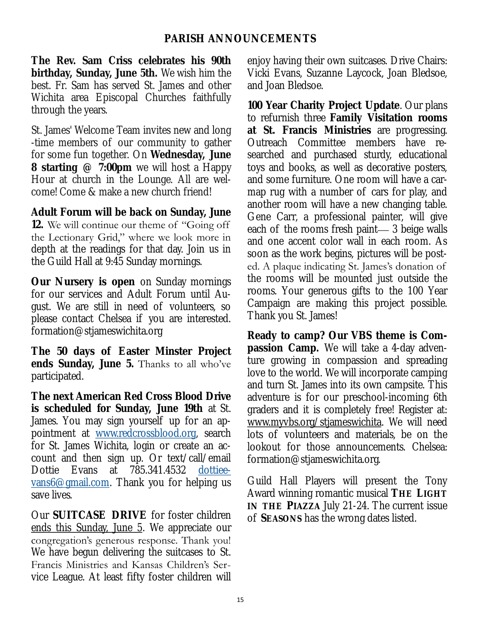#### **PARISH ANNOUNCEMENTS**

**The Rev. Sam Criss celebrates his 90th birthday, Sunday, June 5th.** We wish him the best. Fr. Sam has served St. James and other Wichita area Episcopal Churches faithfully through the years.

St. James' Welcome Team invites new and long -time members of our community to gather for some fun together. On **Wednesday, June 8 starting @ 7:00pm** we will host a Happy Hour at church in the Lounge. All are welcome! Come & make a new church friend!

**Adult Forum will be back on Sunday, June 12.** We will continue our theme of "Going off the Lectionary Grid," where we look more in depth at the readings for that day. Join us in the Guild Hall at 9:45 Sunday mornings.

**Our Nursery is open** on Sunday mornings for our services and Adult Forum until August. We are still in need of volunteers, so please contact Chelsea if you are interested. formation@stjameswichita.org

**The 50 days of Easter Minster Project ends Sunday, June 5.** Thanks to all who've participated.

**The next American Red Cross Blood Drive is scheduled for Sunday, June 19th** at St. James. You may sign yourself up for an appointment at [www.redcrossblood.org,](http://www.redcrossblood.org) search for St. James Wichita, login or create an account and then sign up. Or text/call/email Dottie Evans at 785.341.4532 [dottiee](mailto:dottieevans6@gmail.com)[vans6@gmail.com.](mailto:dottieevans6@gmail.com) Thank you for helping us save lives.

Our **SUITCASE DRIVE** for foster children ends this Sunday, June 5. We appreciate our congregation's generous response. Thank you! We have begun delivering the suitcases to St. Francis Ministries and Kansas Children's Service League. At least fifty foster children will

enjoy having their own suitcases. Drive Chairs: Vicki Evans, Suzanne Laycock, Joan Bledsoe, and Joan Bledsoe.

**100 Year Charity Project Update**. Our plans to refurnish three **Family Visitation rooms at St. Francis Ministries** are progressing. Outreach Committee members have researched and purchased sturdy, educational toys and books, as well as decorative posters, and some furniture. One room will have a carmap rug with a number of cars for play, and another room will have a new changing table. Gene Carr, a professional painter, will give each of the rooms fresh paint— 3 beige walls and one accent color wall in each room. As soon as the work begins, pictures will be posted. A plaque indicating St. James's donation of the rooms will be mounted just outside the rooms. Your generous gifts to the 100 Year Campaign are making this project possible. Thank you St. James!

**Ready to camp? Our VBS theme is Compassion Camp.** We will take a 4-day adventure growing in compassion and spreading love to the world. We will incorporate camping and turn St. James into its own campsite. This adventure is for our preschool-incoming 6th graders and it is completely free! Register at: [www.myvbs.org/stjameswichita.](http://www.myvbs.org/stjameswichita) We will need lots of volunteers and materials, be on the lookout for those announcements. Chelsea: formation@stjameswichita.org.

Guild Hall Players will present the Tony Award winning romantic musical **THE LIGHT IN THE PIAZZA** July 21-24. The current issue of **SEASONS** has the wrong dates listed.